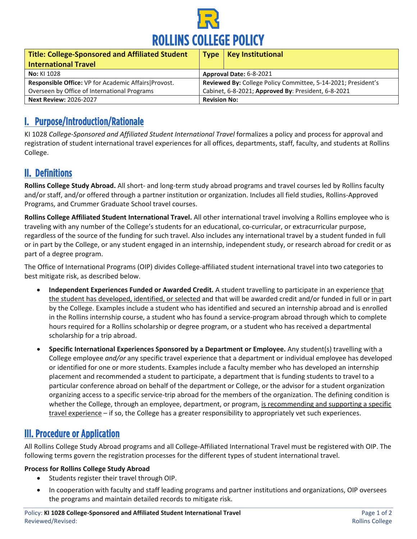

| <b>Title: College-Sponsored and Affiliated Student</b><br><b>International Travel</b> | <b>Type</b>                                                   | <b>Key Institutional</b> |
|---------------------------------------------------------------------------------------|---------------------------------------------------------------|--------------------------|
| No: KI 1028                                                                           | Approval Date: 6-8-2021                                       |                          |
| Responsible Office: VP for Academic Affairs   Provost.                                | Reviewed By: College Policy Committee, 5-14-2021; President's |                          |
| Overseen by Office of International Programs                                          | Cabinet, 6-8-2021; Approved By: President, 6-8-2021           |                          |
| <b>Next Review: 2026-2027</b>                                                         | <b>Revision No:</b>                                           |                          |

# I. Purpose/Introduction/Rationale

KI 1028 *College-Sponsored and Affiliated Student International Travel* formalizes a policy and process for approval and registration of student international travel experiences for all offices, departments, staff, faculty, and students at Rollins College.

## II. Definitions

**Rollins College Study Abroad.** All short- and long-term study abroad programs and travel courses led by Rollins faculty and/or staff, and/or offered through a partner institution or organization. Includes all field studies, Rollins-Approved Programs, and Crummer Graduate School travel courses.

**Rollins College Affiliated Student International Travel.** All other international travel involving a Rollins employee who is traveling with any number of the College's students for an educational, co-curricular, or extracurricular purpose, regardless of the source of the funding for such travel. Also includes any international travel by a student funded in full or in part by the College, or any student engaged in an internship, independent study, or research abroad for credit or as part of a degree program.

The Office of International Programs (OIP) divides College-affiliated student international travel into two categories to best mitigate risk, as described below.

- **Independent Experiences Funded or Awarded Credit.** A student travelling to participate in an experience that the student has developed, identified, or selected and that will be awarded credit and/or funded in full or in part by the College. Examples include a student who has identified and secured an internship abroad and is enrolled in the Rollins internship course, a student who has found a service-program abroad through which to complete hours required for a Rollins scholarship or degree program, or a student who has received a departmental scholarship for a trip abroad.
- **Specific International Experiences Sponsored by a Department or Employee.** Any student(s) travelling with a College employee *and/or* any specific travel experience that a department or individual employee has developed or identified for one or more students. Examples include a faculty member who has developed an internship placement and recommended a student to participate, a department that is funding students to travel to a particular conference abroad on behalf of the department or College, or the advisor for a student organization organizing access to a specific service-trip abroad for the members of the organization. The defining condition is whether the College, through an employee, department, or program, is recommending and supporting a specific travel experience – if so, the College has a greater responsibility to appropriately vet such experiences.

# III. Procedure or Application

All Rollins College Study Abroad programs and all College-Affiliated International Travel must be registered with OIP. The following terms govern the registration processes for the different types of student international travel.

#### **Process for Rollins College Study Abroad**

- Students register their travel through OIP.
- In cooperation with faculty and staff leading programs and partner institutions and organizations, OIP oversees the programs and maintain detailed records to mitigate risk.